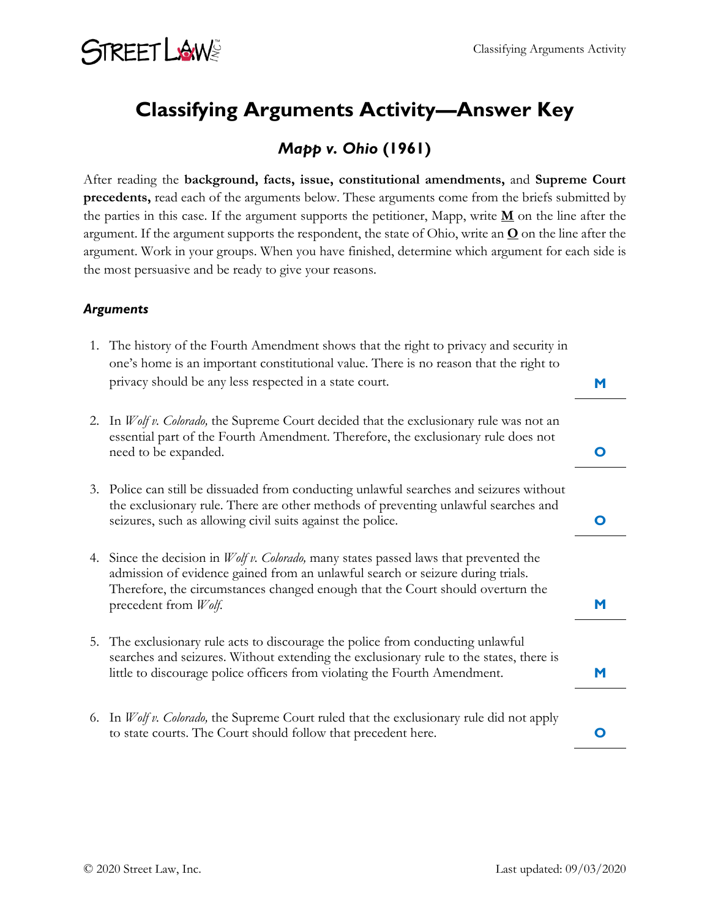# **STREET LAWS**

### **Classifying Arguments Activity—Answer Key**

### *Mapp v. Ohio* **(1961)**

After reading the **background, facts, issue, constitutional amendments,** and **Supreme Court precedents,** read each of the arguments below. These arguments come from the briefs submitted by the parties in this case. If the argument supports the petitioner, Mapp, write **M** on the line after the argument. If the argument supports the respondent, the state of Ohio, write an  $Q$  on the line after the argument. Work in your groups. When you have finished, determine which argument for each side is the most persuasive and be ready to give your reasons.

#### *Arguments*

|    | 1. The history of the Fourth Amendment shows that the right to privacy and security in<br>one's home is an important constitutional value. There is no reason that the right to<br>privacy should be any less respected in a state court.                                              | М |
|----|----------------------------------------------------------------------------------------------------------------------------------------------------------------------------------------------------------------------------------------------------------------------------------------|---|
| 2. | In <i>Wolf v. Colorado</i> , the Supreme Court decided that the exclusionary rule was not an<br>essential part of the Fourth Amendment. Therefore, the exclusionary rule does not<br>need to be expanded.                                                                              |   |
|    | 3. Police can still be dissuaded from conducting unlawful searches and seizures without<br>the exclusionary rule. There are other methods of preventing unlawful searches and<br>seizures, such as allowing civil suits against the police.                                            |   |
| 4. | Since the decision in <i>Wolf v. Colorado</i> , many states passed laws that prevented the<br>admission of evidence gained from an unlawful search or seizure during trials.<br>Therefore, the circumstances changed enough that the Court should overturn the<br>precedent from Wolf. |   |
|    | 5. The exclusionary rule acts to discourage the police from conducting unlawful<br>searches and seizures. Without extending the exclusionary rule to the states, there is<br>little to discourage police officers from violating the Fourth Amendment.                                 |   |
|    | 6. In <i>Wolf v. Colorado</i> , the Supreme Court ruled that the exclusionary rule did not apply<br>to state courts. The Court should follow that precedent here.                                                                                                                      |   |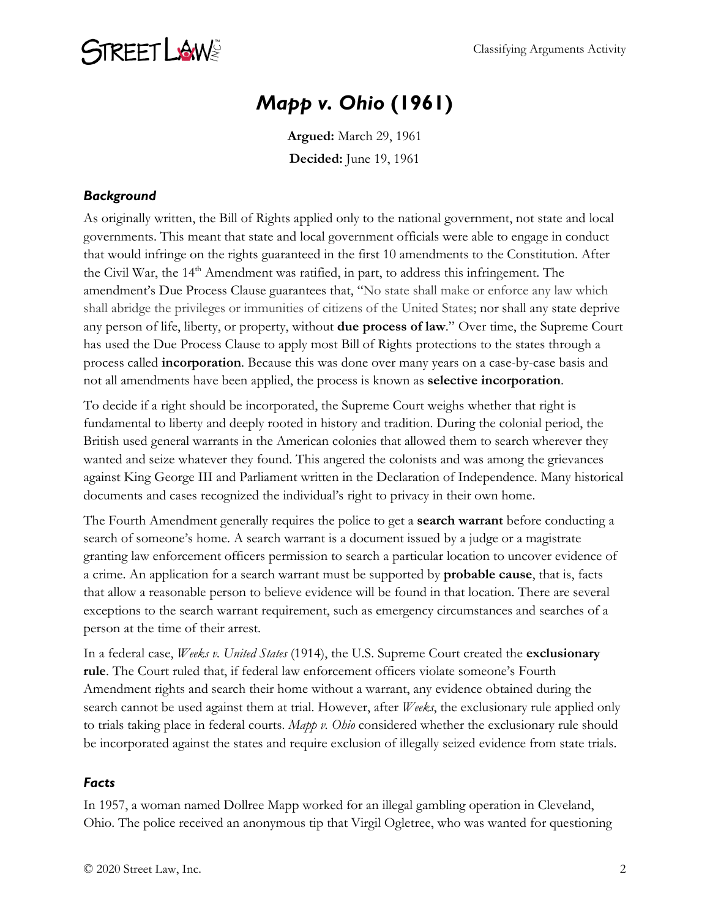

### *Mapp v. Ohio* **(1961)**

**Argued:** March 29, 1961 **Decided:** June 19, 1961

#### *Background*

As originally written, the Bill of Rights applied only to the national government, not state and local governments. This meant that state and local government officials were able to engage in conduct that would infringe on the rights guaranteed in the first 10 amendments to the Constitution. After the Civil War, the 14<sup>th</sup> Amendment was ratified, in part, to address this infringement. The amendment's Due Process Clause guarantees that, "No state shall make or enforce any law which shall abridge the privileges or immunities of citizens of the United States; nor shall any state deprive any person of life, liberty, or property, without **due process of law**." Over time, the Supreme Court has used the Due Process Clause to apply most Bill of Rights protections to the states through a process called **incorporation**. Because this was done over many years on a case-by-case basis and not all amendments have been applied, the process is known as **selective incorporation**.

To decide if a right should be incorporated, the Supreme Court weighs whether that right is fundamental to liberty and deeply rooted in history and tradition. During the colonial period, the British used general warrants in the American colonies that allowed them to search wherever they wanted and seize whatever they found. This angered the colonists and was among the grievances against King George III and Parliament written in the Declaration of Independence. Many historical documents and cases recognized the individual's right to privacy in their own home.

The Fourth Amendment generally requires the police to get a **search warrant** before conducting a search of someone's home. A search warrant is a document issued by a judge or a magistrate granting law enforcement officers permission to search a particular location to uncover evidence of a crime. An application for a search warrant must be supported by **probable cause**, that is, facts that allow a reasonable person to believe evidence will be found in that location. There are several exceptions to the search warrant requirement, such as emergency circumstances and searches of a person at the time of their arrest.

In a federal case, *Weeks v. United States* (1914), the U.S. Supreme Court created the **exclusionary rule**. The Court ruled that, if federal law enforcement officers violate someone's Fourth Amendment rights and search their home without a warrant, any evidence obtained during the search cannot be used against them at trial. However, after *Weeks*, the exclusionary rule applied only to trials taking place in federal courts. *Mapp v. Ohio* considered whether the exclusionary rule should be incorporated against the states and require exclusion of illegally seized evidence from state trials.

#### *Facts*

In 1957, a woman named Dollree Mapp worked for an illegal gambling operation in Cleveland, Ohio. The police received an anonymous tip that Virgil Ogletree, who was wanted for questioning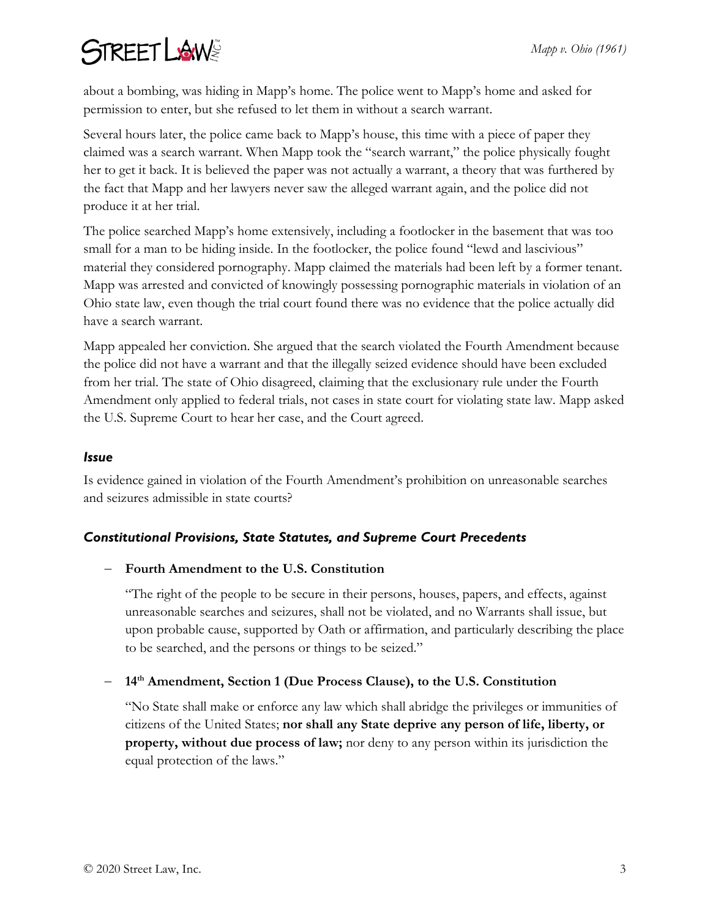# **STREET LAWS**

about a bombing, was hiding in Mapp's home. The police went to Mapp's home and asked for permission to enter, but she refused to let them in without a search warrant.

Several hours later, the police came back to Mapp's house, this time with a piece of paper they claimed was a search warrant. When Mapp took the "search warrant," the police physically fought her to get it back. It is believed the paper was not actually a warrant, a theory that was furthered by the fact that Mapp and her lawyers never saw the alleged warrant again, and the police did not produce it at her trial.

The police searched Mapp's home extensively, including a footlocker in the basement that was too small for a man to be hiding inside. In the footlocker, the police found "lewd and lascivious" material they considered pornography. Mapp claimed the materials had been left by a former tenant. Mapp was arrested and convicted of knowingly possessing pornographic materials in violation of an Ohio state law, even though the trial court found there was no evidence that the police actually did have a search warrant.

Mapp appealed her conviction. She argued that the search violated the Fourth Amendment because the police did not have a warrant and that the illegally seized evidence should have been excluded from her trial. The state of Ohio disagreed, claiming that the exclusionary rule under the Fourth Amendment only applied to federal trials, not cases in state court for violating state law. Mapp asked the U.S. Supreme Court to hear her case, and the Court agreed.

#### *Issue*

Is evidence gained in violation of the Fourth Amendment's prohibition on unreasonable searches and seizures admissible in state courts?

#### *Constitutional Provisions, State Statutes, and Supreme Court Precedents*

#### − **Fourth Amendment to the U.S. Constitution**

"The right of the people to be secure in their persons, houses, papers, and effects, against unreasonable searches and seizures, shall not be violated, and no Warrants shall issue, but upon probable cause, supported by Oath or affirmation, and particularly describing the place to be searched, and the persons or things to be seized."

#### − **14th Amendment, Section 1 (Due Process Clause), to the U.S. Constitution**

"No State shall make or enforce any law which shall abridge the privileges or immunities of citizens of the United States; **nor shall any State deprive any person of life, liberty, or property, without due process of law;** nor deny to any person within its jurisdiction the equal protection of the laws."